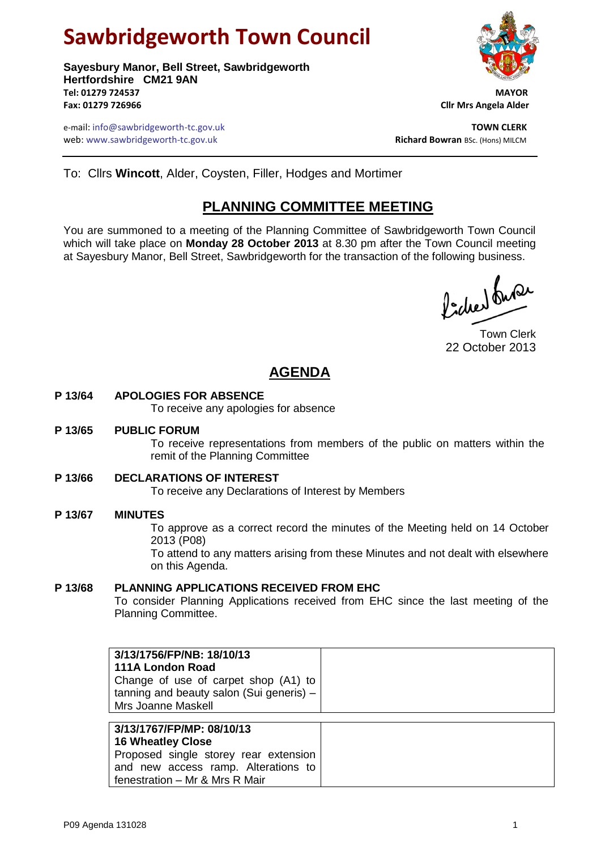# **Sawbridgeworth Town Council**

**Sayesbury Manor, Bell Street, Sawbridgeworth Hertfordshire CM21 9AN Tel: 01279 724537 MAYOR Fax: 01279 726966 Cllr Mrs Angela Alder**

e-mail: info@sawbridgeworth-tc.gov.uk<br>**Web:** www.sawbridgeworth-tc.gov.uk **TOWN CLERK**<br>**Richard Bowran** BSc. (Hons) MILCM web: www.sawbridgeworth-tc.gov.uk

# To: Cllrs **Wincott**, Alder, Coysten, Filler, Hodges and Mortimer

# **PLANNING COMMITTEE MEETING**

You are summoned to a meeting of the Planning Committee of Sawbridgeworth Town Council which will take place on **Monday 28 October 2013** at 8.30 pm after the Town Council meeting at Sayesbury Manor, Bell Street, Sawbridgeworth for the transaction of the following business.

ladred burer

Town Clerk 22 October 2013

# **AGENDA**

## **P 13/64 APOLOGIES FOR ABSENCE**

To receive any apologies for absence

#### **P 13/65 PUBLIC FORUM**

To receive representations from members of the public on matters within the remit of the Planning Committee

### **P 13/66 DECLARATIONS OF INTEREST**

To receive any Declarations of Interest by Members

### **P 13/67 MINUTES**

To approve as a correct record the minutes of the Meeting held on 14 October 2013 (P08)

To attend to any matters arising from these Minutes and not dealt with elsewhere on this Agenda.

## **P 13/68 PLANNING APPLICATIONS RECEIVED FROM EHC**

and new access ramp. Alterations to

fenestration – Mr & Mrs R Mair

To consider Planning Applications received from EHC since the last meeting of the Planning Committee.

| 3/13/1756/FP/NB: 18/10/13                |  |
|------------------------------------------|--|
| 111A London Road                         |  |
| Change of use of carpet shop (A1) to     |  |
| tanning and beauty salon (Sui generis) - |  |
| Mrs Joanne Maskell                       |  |
|                                          |  |
| 3/13/1767/FP/MP: 08/10/13                |  |
| <b>16 Wheatley Close</b>                 |  |
| Proposed single storey rear extension    |  |

P09 Agenda 131028 1

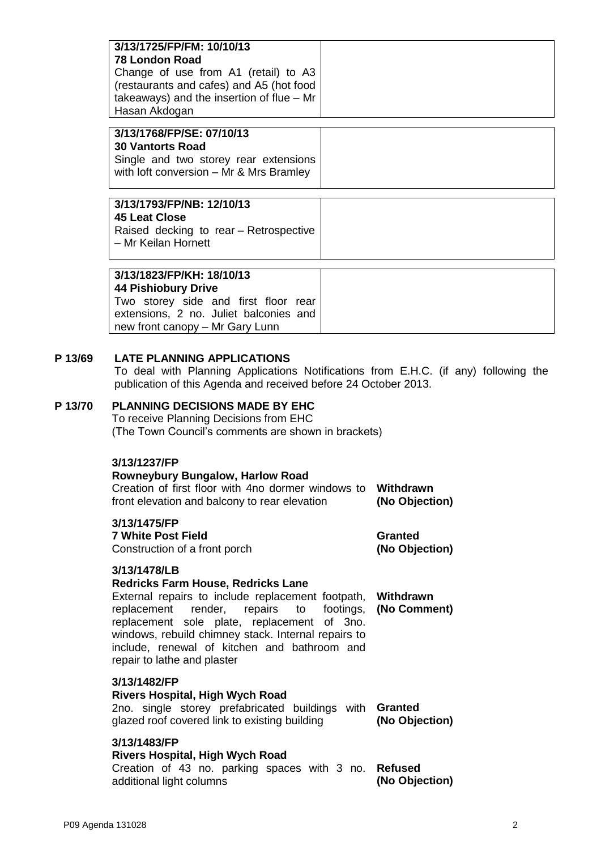| 3/13/1725/FP/FM: 10/10/13<br><b>78 London Road</b><br>Change of use from A1 (retail) to A3<br>(restaurants and cafes) and A5 (hot food<br>takeaways) and the insertion of flue $-$ Mr<br>Hasan Akdogan                                                                                                                                                      |                                  |  |
|-------------------------------------------------------------------------------------------------------------------------------------------------------------------------------------------------------------------------------------------------------------------------------------------------------------------------------------------------------------|----------------------------------|--|
| 3/13/1768/FP/SE: 07/10/13<br><b>30 Vantorts Road</b><br>Single and two storey rear extensions<br>with loft conversion - Mr & Mrs Bramley                                                                                                                                                                                                                    |                                  |  |
| 3/13/1793/FP/NB: 12/10/13<br><b>45 Leat Close</b><br>Raised decking to rear - Retrospective<br>- Mr Keilan Hornett                                                                                                                                                                                                                                          |                                  |  |
| 3/13/1823/FP/KH: 18/10/13<br><b>44 Pishiobury Drive</b><br>Two storey side and first floor rear<br>extensions, 2 no. Juliet balconies and<br>new front canopy - Mr Gary Lunn                                                                                                                                                                                |                                  |  |
| <b>LATE PLANNING APPLICATIONS</b><br>To deal with Planning Applications Notifications from E.H.C. (if any) following the<br>publication of this Agenda and received before 24 October 2013.<br><b>PLANNING DECISIONS MADE BY EHC</b><br>To receive Planning Decisions from EHC<br>(The Town Council's comments are shown in brackets)                       |                                  |  |
| 3/13/1237/FP<br><b>Rowneybury Bungalow, Harlow Road</b><br>Creation of first floor with 4no dormer windows to<br>front elevation and balcony to rear elevation                                                                                                                                                                                              | Withdrawn<br>(No Objection)      |  |
| 3/13/1475/FP<br><b>7 White Post Field</b><br>Construction of a front porch                                                                                                                                                                                                                                                                                  | <b>Granted</b><br>(No Objection) |  |
| 3/13/1478/LB<br><b>Redricks Farm House, Redricks Lane</b><br>External repairs to include replacement footpath,<br>replacement<br>render,<br>repairs<br>to<br>footings,<br>replacement sole plate, replacement of 3no.<br>windows, rebuild chimney stack. Internal repairs to<br>include, renewal of kitchen and bathroom and<br>repair to lathe and plaster | Withdrawn<br>(No Comment)        |  |
| 3/13/1482/FP<br><b>Rivers Hospital, High Wych Road</b><br>2no. single storey prefabricated buildings with<br>glazed roof covered link to existing building                                                                                                                                                                                                  | <b>Granted</b><br>(No Objection) |  |
| 3/13/1483/FP<br><b>Rivers Hospital, High Wych Road</b><br>Creation of 43 no. parking spaces with 3 no.<br>additional light columns                                                                                                                                                                                                                          | <b>Refused</b><br>(No Objection) |  |

**P** 13/69

**P** 13/70